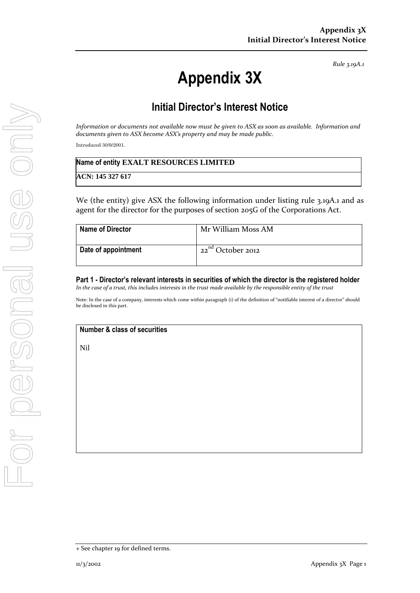*Rule 3.19A.1*

# **Appendix 3X**

## **Initial Director's Interest Notice**

*Information or documents not available now must be given to ASX as soon as available. Information and documents given to ASX become ASX's property and may be made public.*

Introduced 30/9/2001.

| Name of entity EXALT RESOURCES LIMITED |
|----------------------------------------|
| ACN: 145 327 617                       |

We (the entity) give ASX the following information under listing rule 3.19A.1 and as agent for the director for the purposes of section 205G of the Corporations Act.

| <b>Name of Director</b> | Mr William Moss AM     |
|-------------------------|------------------------|
| Date of appointment     | $22^{nd}$ October 2012 |

**Part 1 - Director's relevant interests in securities of which the director is the registered holder** *In the case of a trust, this includes interests in the trust made available by the responsible entity of the trust*

Note: In the case of a company, interests which come within paragraph (i) of the definition of "notifiable interest of a director" should be disclosed in this part.

### **Number & class of securities**

Nil

<sup>+</sup> See chapter 19 for defined terms.